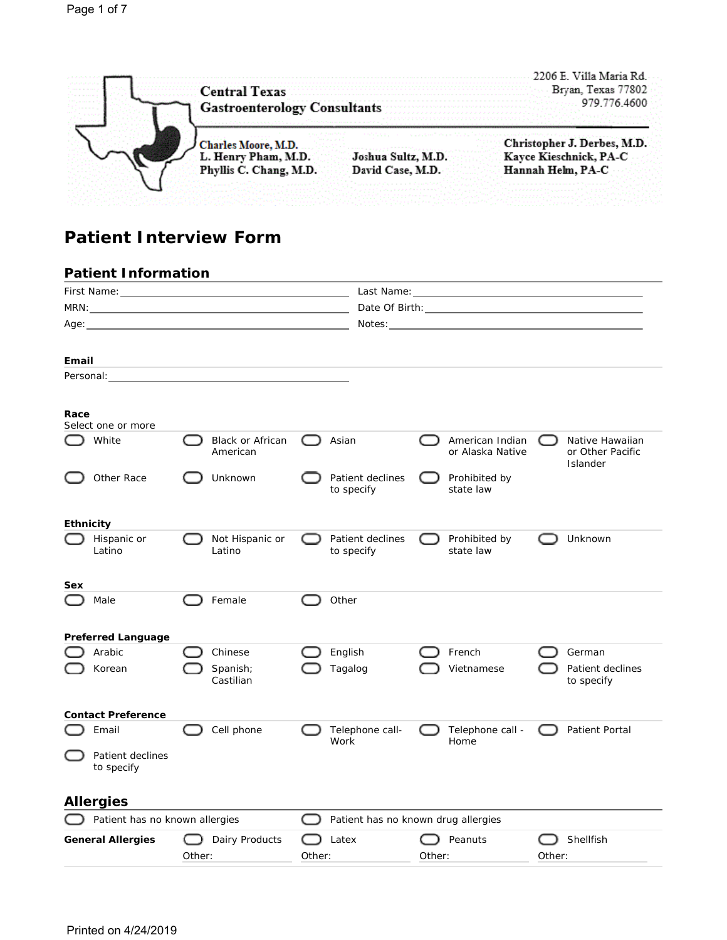|       |                                                                  | .2206 E. Villa Maria Rd.        |
|-------|------------------------------------------------------------------|---------------------------------|
|       | <b>Central Texas</b>                                             | Brvan, Texas 77802              |
| <br>. | <b>Gastroenterology Consultants</b><br>しんえいのんえんどうだん              | 979.776.4600                    |
|       | かなな かいしょう しょうしょうかん アンドレー なない とうしょう<br><b>Charles Moore, M.D.</b> | Christopher J. Derbes, M.D.     |
|       | L. Henry Pham, M.D.<br>Joshua Sultz, M.D.                        | Kayce Kieschnick, PA-C          |
|       | Phyllis C. Chang, M.D.<br>David Case, M.D.                       | Hannah Helm, PA-C<br>. <i>.</i> |

# **Patient Interview Form**

|                  | <b>Patient Information</b>     |        |                              |        |                                |                                       |                                                                                                                                                                                                                                |            |                                                        |
|------------------|--------------------------------|--------|------------------------------|--------|--------------------------------|---------------------------------------|--------------------------------------------------------------------------------------------------------------------------------------------------------------------------------------------------------------------------------|------------|--------------------------------------------------------|
|                  |                                |        |                              |        |                                |                                       |                                                                                                                                                                                                                                |            |                                                        |
|                  |                                |        |                              |        |                                | Date Of Birth: The Contract of Birth: |                                                                                                                                                                                                                                |            |                                                        |
|                  |                                |        |                              |        |                                |                                       | Notes: when the contract of the contract of the contract of the contract of the contract of the contract of the contract of the contract of the contract of the contract of the contract of the contract of the contract of th |            |                                                        |
|                  |                                |        |                              |        |                                |                                       |                                                                                                                                                                                                                                |            |                                                        |
| Email            |                                |        |                              |        |                                |                                       |                                                                                                                                                                                                                                |            |                                                        |
|                  |                                |        |                              |        |                                |                                       |                                                                                                                                                                                                                                |            |                                                        |
| Race             | Select one or more             |        |                              |        |                                |                                       |                                                                                                                                                                                                                                |            |                                                        |
|                  | White                          |        | Black or African<br>American |        | Asian                          |                                       | American Indian<br>or Alaska Native                                                                                                                                                                                            |            | Native Hawaiian<br>or Other Pacific<br><b>Islander</b> |
|                  | Other Race                     |        | Unknown                      |        | Patient declines<br>to specify |                                       | Prohibited by<br>state law                                                                                                                                                                                                     |            |                                                        |
| <b>Ethnicity</b> |                                |        |                              |        |                                |                                       |                                                                                                                                                                                                                                |            |                                                        |
|                  | Hispanic or<br>Latino          |        | Not Hispanic or<br>Latino    |        | Patient declines<br>to specify |                                       | Prohibited by<br>state law                                                                                                                                                                                                     |            | Unknown                                                |
| Sex              |                                |        |                              |        |                                |                                       |                                                                                                                                                                                                                                |            |                                                        |
|                  | Male                           |        | Female                       |        | Other                          |                                       |                                                                                                                                                                                                                                |            |                                                        |
|                  | Preferred Language             |        |                              |        |                                |                                       |                                                                                                                                                                                                                                |            |                                                        |
|                  | Arabic                         |        | Chinese                      |        | English                        |                                       | French                                                                                                                                                                                                                         |            | German                                                 |
|                  | Korean                         |        | Spanish;<br>Castilian        |        | Tagalog                        |                                       | Vietnamese                                                                                                                                                                                                                     |            | Patient declines<br>to specify                         |
|                  | <b>Contact Preference</b>      |        |                              |        |                                |                                       |                                                                                                                                                                                                                                |            |                                                        |
|                  | Email                          |        | Cell phone                   |        | Telephone call-<br>Work        |                                       | Telephone call -<br>Home                                                                                                                                                                                                       | $\sqrt{2}$ | Patient Portal                                         |
|                  | Patient declines<br>to specify |        |                              |        |                                |                                       |                                                                                                                                                                                                                                |            |                                                        |
|                  | Allergies                      |        |                              |        |                                |                                       |                                                                                                                                                                                                                                |            |                                                        |
|                  | Patient has no known allergies |        |                              |        |                                | Patient has no known drug allergies   |                                                                                                                                                                                                                                |            |                                                        |
|                  | <b>General Allergies</b>       |        | Dairy Products               |        | Latex                          |                                       | Peanuts                                                                                                                                                                                                                        |            | Shellfish                                              |
|                  |                                | Other: |                              | Other: |                                | Other:                                |                                                                                                                                                                                                                                | Other:     |                                                        |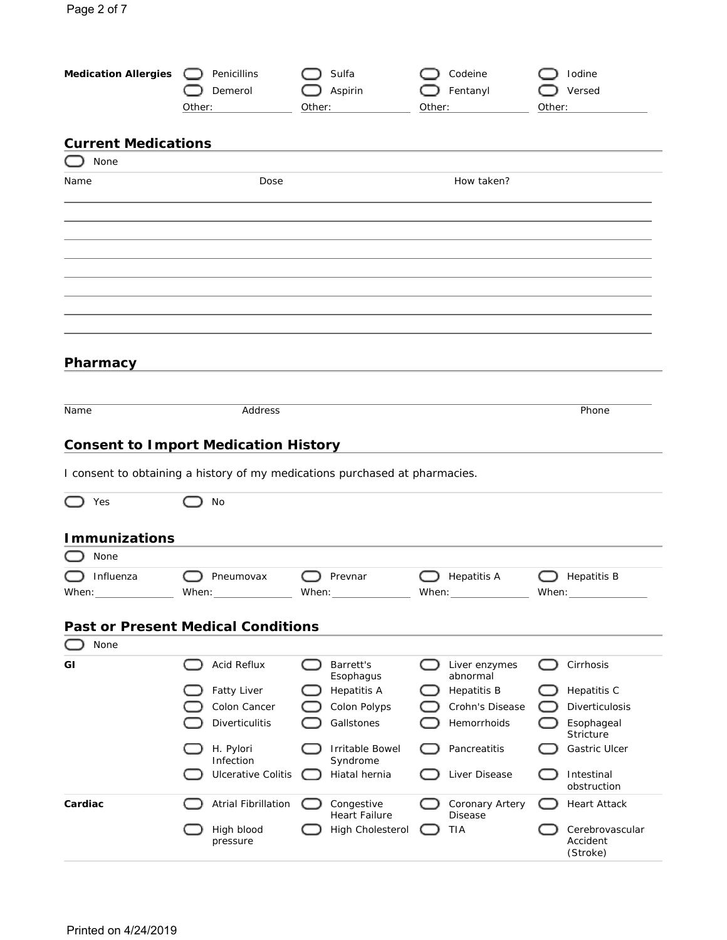| <b>Medication Allergies</b>                 | Penicillins<br>Demerol<br>Other: | Sulfa<br>Aspirin<br>Other:                                                  | Codeine<br>Fentanyl<br>Other: | Iodine<br>Versed<br>Other:                |
|---------------------------------------------|----------------------------------|-----------------------------------------------------------------------------|-------------------------------|-------------------------------------------|
| <b>Current Medications</b><br>None          |                                  |                                                                             |                               |                                           |
| Name                                        | Dose                             |                                                                             | How taken?                    |                                           |
|                                             |                                  |                                                                             |                               |                                           |
|                                             |                                  |                                                                             |                               |                                           |
|                                             |                                  |                                                                             |                               |                                           |
|                                             |                                  |                                                                             |                               |                                           |
| Pharmacy                                    |                                  |                                                                             |                               |                                           |
| Name                                        | Address                          |                                                                             |                               | Phone                                     |
| <b>Consent to Import Medication History</b> |                                  |                                                                             |                               |                                           |
|                                             |                                  | I consent to obtaining a history of my medications purchased at pharmacies. |                               |                                           |
| Yes                                         | No                               |                                                                             |                               |                                           |
| <b>Immunizations</b>                        |                                  |                                                                             |                               |                                           |
| None                                        |                                  |                                                                             |                               |                                           |
| Influenza<br>When: _______________          | Pneumovax                        | Prevnar                                                                     | <b>Hepatitis A</b>            | <b>Hepatitis B</b><br>When: $\sqrt{2\pi}$ |
| <b>Past or Present Medical Conditions</b>   |                                  |                                                                             |                               |                                           |
| None                                        |                                  |                                                                             |                               |                                           |
| GI                                          | Acid Reflux                      | Barrett's<br>Esophagus                                                      | Liver enzymes<br>abnormal     | Cirrhosis                                 |
|                                             | <b>Fatty Liver</b>               | <b>Hepatitis A</b>                                                          | <b>Hepatitis B</b>            | Hepatitis C                               |
|                                             | Colon Cancer                     | Colon Polyps                                                                | Crohn's Disease               | Diverticulosis                            |
|                                             | Diverticulitis                   | Gallstones                                                                  | Hemorrhoids                   | Esophageal<br>Stricture                   |
|                                             | H. Pylori<br>Infection           | Irritable Bowel<br>Syndrome                                                 | Pancreatitis                  | Gastric Ulcer                             |
|                                             | <b>Ulcerative Colitis</b>        | Hiatal hernia                                                               | Liver Disease                 | Intestinal<br>obstruction                 |
| Cardiac                                     | Atrial Fibrillation              | Congestive<br>Heart Failure                                                 | Coronary Artery<br>Disease    | <b>Heart Attack</b>                       |
|                                             | High blood<br>pressure           | High Cholesterol                                                            | TIA                           | Cerebrovascular<br>Accident<br>(Stroke)   |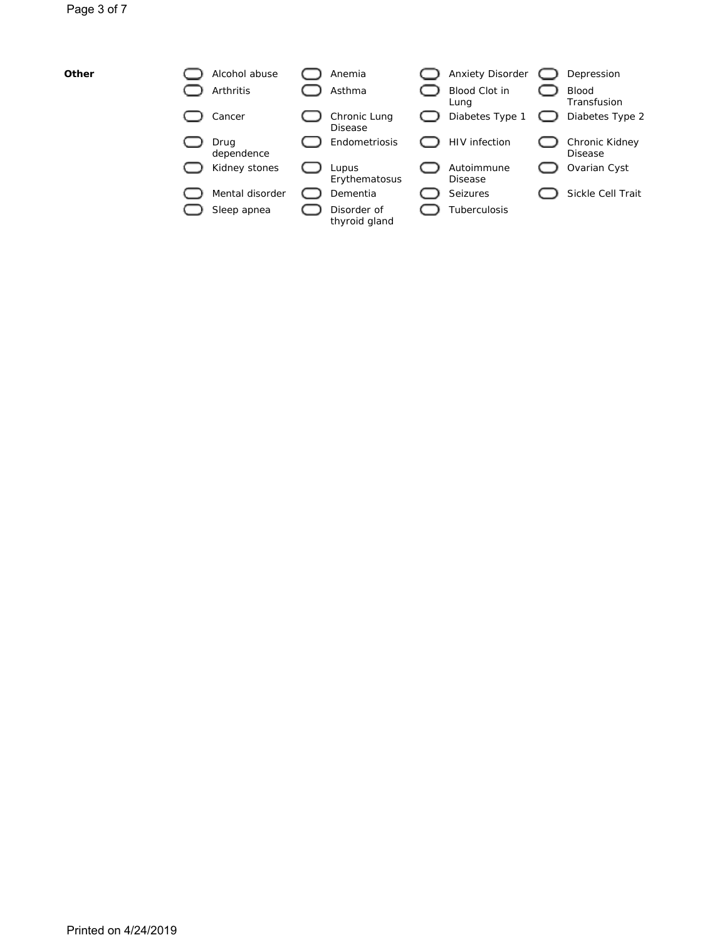| Other | Alcohol abuse      | Anemia                       | Anxiety Disorder      | Depression                       |
|-------|--------------------|------------------------------|-----------------------|----------------------------------|
|       | Arthritis          | Asthma                       | Blood Clot in<br>Lung | <b>Blood</b><br>Transfusion      |
|       | Cancer             | Chronic Lung<br>Disease      | Diabetes Type 1       | Diabetes Type 2                  |
|       | Drua<br>dependence | Endometriosis                | <b>HIV</b> infection  | Chronic Kidney<br><b>Disease</b> |
|       | Kidney stones      | Lupus<br>Erythematosus       | Autoimmune<br>Disease | Ovarian Cyst                     |
|       | Mental disorder    | Dementia                     | Seizures              | Sickle Cell Trait                |
|       | Sleep apnea        | Disorder of<br>thyroid gland | Tuberculosis          |                                  |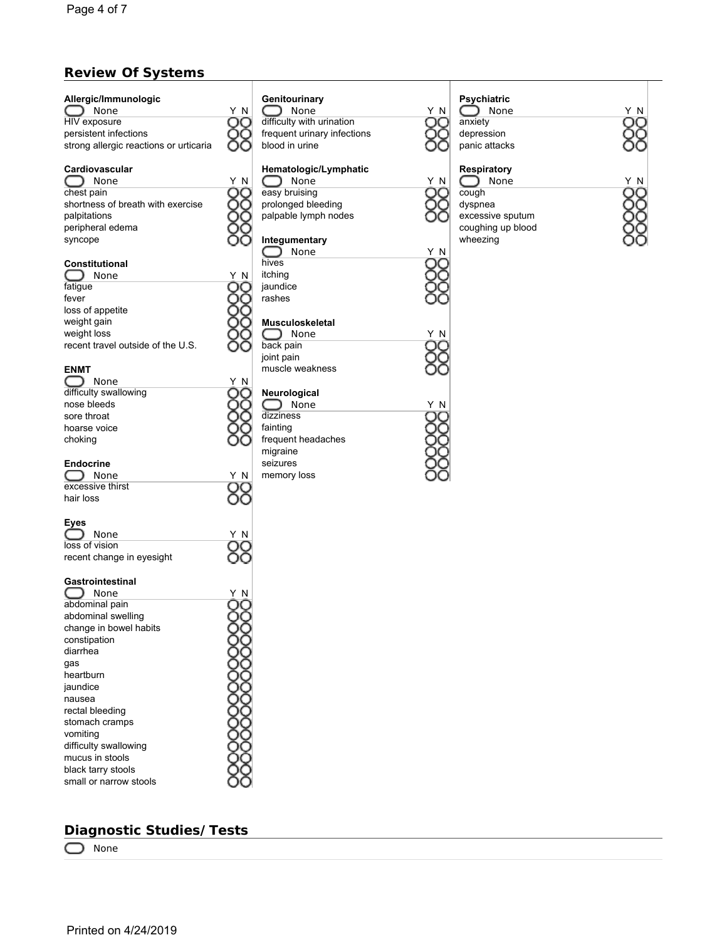## **Review Of Systems**

| Allergic/Immunologic<br>$\bigcirc$ None | Y N | Ç          |
|-----------------------------------------|-----|------------|
| HIV exposure                            |     | C          |
| persistent infections                   |     | f          |
| strong allergic reactions or urticaria  |     | ł          |
| Cardiovascular                          |     |            |
| $\bigcirc$ None                         | Y N |            |
| chest pain                              |     | $\epsilon$ |
| shortness of breath with exercise       |     | r          |
| palpitations                            |     | r          |
| peripheral edema                        |     |            |
| syncope                                 |     |            |
| Constitutional<br>$\cup$<br>None        |     | ŀ<br>i     |
| fatigue                                 | ΥN  | j          |
| fever                                   |     | r          |
| loss of appetite                        |     |            |
| weight gain                             |     | ľ          |
| weight loss                             |     |            |
| recent travel outside of the U.S.       |     | t          |
| <b>ENMT</b>                             |     | j<br>r     |
| $\bigcirc$ None                         | ΥN  |            |
| difficulty swallowing                   |     | ľ          |
| nose bleeds                             |     |            |
| sore throat                             |     | C          |
| hoarse voice                            |     | f          |
| choking                                 |     | f          |
| Endocrine                               |     | r<br>S     |
| None                                    | Y N | r          |
| excessive thirst                        |     |            |
| hair loss                               |     |            |
| Eyes                                    |     |            |
| C<br>$\rightarrow$<br>None              | N   |            |
| loss of vision                          |     |            |
| recent change in eyesight               |     |            |
| Gastrointestinal                        |     |            |
| C<br><b>J</b> None                      | ΥN  |            |
| abdominal pain                          |     |            |
| abdominal swelling                      |     |            |
| change in bowel habits                  |     |            |
| constipation                            |     |            |
| diarrhea                                |     |            |
| qas                                     |     |            |
| heartburn                               |     |            |
| jaundice                                |     |            |
| nausea                                  |     |            |
| rectal bleeding                         |     |            |
| stomach cramps                          |     |            |
| vomiting                                |     |            |
| difficulty swallowing                   |     |            |
| mucus in stools                         |     |            |
| black tarry stools                      |     |            |
| small or narrow stools                  |     |            |

## **Diagnostic Studies/Tests**

None

| Genitourinary |  |  |
|---------------|--|--|
|               |  |  |

None Y N difficulty with urination requent urinary infections blood in urine

# **Hematologic/Lymphatic**

None Y N easy bruising prolonged bleeding palpable lymph nodes

## **Integumentary**

hives tching aundice rashes

#### **Musculoskeletal**

None Y N back pain oint pain muscle weakness

#### **Neurological**

None Y N<br>Extress Y N<br>Extress QQ dizziness ainting frequent headaches migraine seizures memory loss

|   | I |
|---|---|
| N |   |
|   | ć |
|   | Ó |
|   | ľ |
|   |   |

Ŏδ

**Psychiatric** None Y N anxiety depression .<br>panic attacks

### **Respiratory**

O None Y N<br>cough OC cough dyspnea excessive sputum coughing up blood wheezing



None Y N 88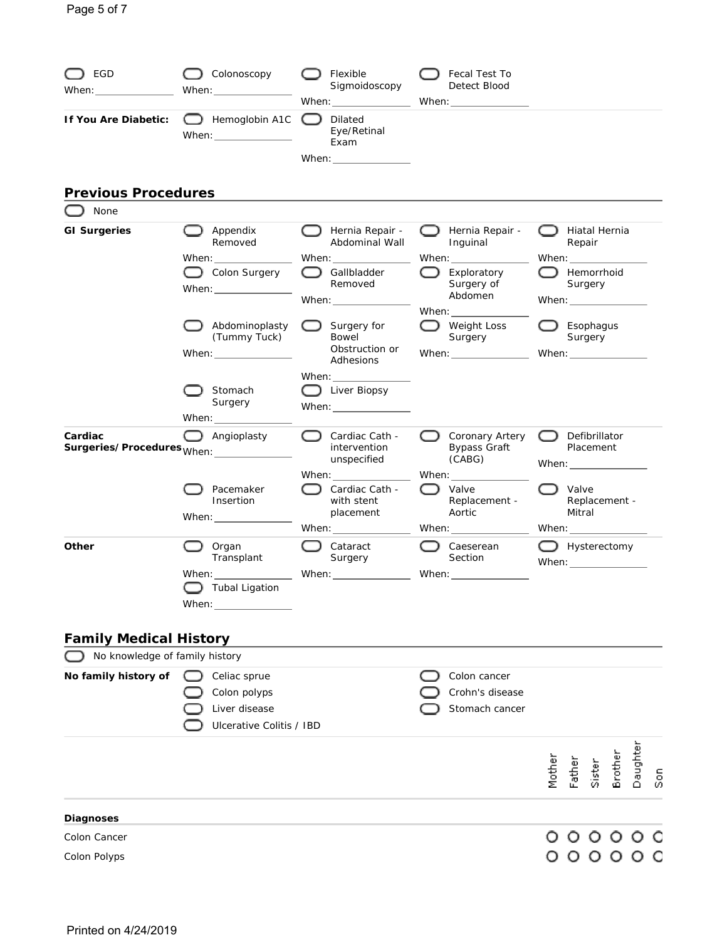| EGD<br>When: when the contract of the contract of the contract of the contract of the contract of the contract of the contract of the contract of the contract of the contract of the contract of the contract of the contract of the | Colonoscopy<br>When:                                                                               | Flexible<br>Sigmoidoscopy                                                                  | Fecal Test To<br>Detect Blood                                                                                                                                                                                                                                                 |        |                                                                                                |         |                       |
|---------------------------------------------------------------------------------------------------------------------------------------------------------------------------------------------------------------------------------------|----------------------------------------------------------------------------------------------------|--------------------------------------------------------------------------------------------|-------------------------------------------------------------------------------------------------------------------------------------------------------------------------------------------------------------------------------------------------------------------------------|--------|------------------------------------------------------------------------------------------------|---------|-----------------------|
| If You Are Diabetic:                                                                                                                                                                                                                  | Hemoglobin A1C<br>When:                                                                            | Dilated<br>Eye/Retinal<br>Exam                                                             |                                                                                                                                                                                                                                                                               |        |                                                                                                |         |                       |
| <b>Previous Procedures</b>                                                                                                                                                                                                            |                                                                                                    |                                                                                            |                                                                                                                                                                                                                                                                               |        |                                                                                                |         |                       |
| None                                                                                                                                                                                                                                  |                                                                                                    |                                                                                            |                                                                                                                                                                                                                                                                               |        |                                                                                                |         |                       |
| <b>GI Surgeries</b>                                                                                                                                                                                                                   | Appendix<br>Removed                                                                                | Hernia Repair -<br>Abdominal Wall                                                          | Hernia Repair -<br>Inguinal                                                                                                                                                                                                                                                   |        | Hiatal Hernia<br>Repair                                                                        |         |                       |
|                                                                                                                                                                                                                                       | When: $\_\_$<br>Colon Surgery<br>When: $\_\_$                                                      | Gallbladder<br>Removed<br>When: $\frac{1}{\sqrt{1-\frac{1}{2}}\left(1-\frac{1}{2}\right)}$ | When: $\frac{1}{2}$<br>Exploratory<br>Surgery of<br>Abdomen                                                                                                                                                                                                                   |        | When: $\_\_$<br>Hemorrhoid<br>Surgery<br>When: $\frac{1}{2}$                                   |         |                       |
|                                                                                                                                                                                                                                       | Abdominoplasty<br>(Tummy Tuck)<br>When: $\frac{1}{\sqrt{1-\frac{1}{2}}\left(1-\frac{1}{2}\right)}$ | $\Box$ Surgery for<br>Bowel<br>Obstruction or<br>Adhesions                                 | When: $\_\_$<br>Weight Loss<br>Surgery<br>When: $\frac{1}{\sqrt{1-\frac{1}{2}}\sqrt{1-\frac{1}{2}}\left(1-\frac{1}{2}\right)}$                                                                                                                                                |        | Esophagus<br>Surgery                                                                           |         |                       |
|                                                                                                                                                                                                                                       | Stomach<br>Surgery<br>When: $\_\_$                                                                 | When:<br>Liver Biopsy<br>When: $\frac{1}{2}$                                               |                                                                                                                                                                                                                                                                               |        |                                                                                                |         |                       |
| Cardiac<br>Surgeries/Procedures <sub>When:</sub> _________                                                                                                                                                                            | Angioplasty                                                                                        | Cardiac Cath -<br>intervention<br>unspecified<br>When: When:                               | Coronary Artery<br><b>Bypass Graft</b><br>(CABG)<br>When: $\_\_$                                                                                                                                                                                                              | ( )    | Defibrillator<br>Placement<br>When: $\frac{1}{\sqrt{1-\frac{1}{2}}\left(1-\frac{1}{2}\right)}$ |         |                       |
|                                                                                                                                                                                                                                       | Pacemaker<br>Insertion<br>When: $\_\_$                                                             | Cardiac Cath -<br>with stent<br>placement                                                  | Valve<br>Replacement -<br>Aortic                                                                                                                                                                                                                                              |        | Valve<br>Replacement -<br>Mitral                                                               |         |                       |
| Other                                                                                                                                                                                                                                 | Organ<br>Transplant<br>When: when:                                                                 | When: $\sqrt{2\pi}$<br>Cataract<br>Surgery<br>When: ________________                       | When: $\frac{1}{2}$<br>Caeserean<br>Section<br>When: when the control of the control of the control of the control of the control of the control of the control of the control of the control of the control of the control of the control of the control of the control of t |        | When: $\frac{1}{\sqrt{1-\frac{1}{2}}\left(1-\frac{1}{2}\right)}$<br>Hysterectomy<br>When:      |         |                       |
|                                                                                                                                                                                                                                       | $\Box$ Tubal Ligation<br>When: $\frac{1}{\sqrt{1-\frac{1}{2}}\left(1-\frac{1}{2}\right)}$          |                                                                                            |                                                                                                                                                                                                                                                                               |        |                                                                                                |         |                       |
| <b>Family Medical History</b>                                                                                                                                                                                                         |                                                                                                    |                                                                                            |                                                                                                                                                                                                                                                                               |        |                                                                                                |         |                       |
| No knowledge of family history                                                                                                                                                                                                        |                                                                                                    |                                                                                            |                                                                                                                                                                                                                                                                               |        |                                                                                                |         |                       |
| No family history of                                                                                                                                                                                                                  | Celiac sprue<br>Colon polyps<br>Liver disease<br>Ulcerative Colitis / IBD                          |                                                                                            | Colon cancer<br>Crohn's disease<br>Stomach cancer                                                                                                                                                                                                                             |        |                                                                                                |         |                       |
|                                                                                                                                                                                                                                       |                                                                                                    |                                                                                            |                                                                                                                                                                                                                                                                               | Mother | Father<br>Sister                                                                               | Brother | Daughter<br><u>ရွ</u> |
| Diagnoses                                                                                                                                                                                                                             |                                                                                                    |                                                                                            |                                                                                                                                                                                                                                                                               |        |                                                                                                |         |                       |
| Colon Cancer                                                                                                                                                                                                                          |                                                                                                    |                                                                                            |                                                                                                                                                                                                                                                                               |        | 0 0 0 0 0 0                                                                                    |         |                       |
| Colon Polyps                                                                                                                                                                                                                          |                                                                                                    |                                                                                            |                                                                                                                                                                                                                                                                               |        | 00000                                                                                          |         |                       |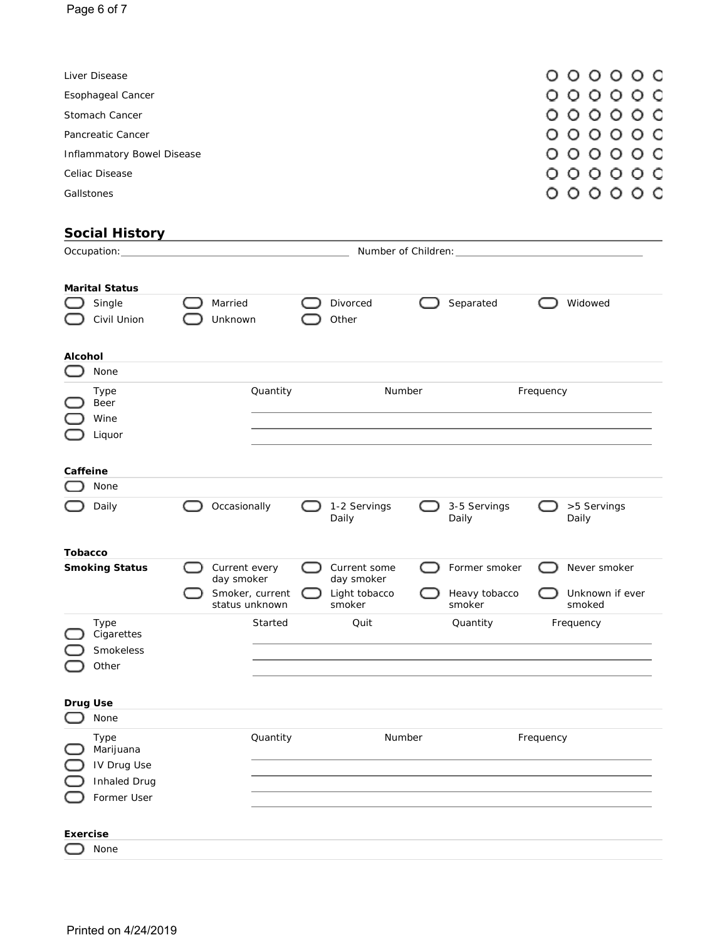| Liver Disease              | 000000  |
|----------------------------|---------|
| Esophageal Cancer          | 0000000 |
| Stomach Cancer             | 0000000 |
| Pancreatic Cancer          | 000000  |
| Inflammatory Bowel Disease | 000000  |
| Celiac Disease             | 0000000 |
| Gallstones                 | 0000000 |

<u> 1980 - Johann Barbara, martxa alemaniar a</u>

## **Social History**

| Number of Children:<br>Occupation: |                       |  |                 |  |               |               |                 |
|------------------------------------|-----------------------|--|-----------------|--|---------------|---------------|-----------------|
|                                    |                       |  |                 |  |               |               |                 |
|                                    | <b>Marital Status</b> |  |                 |  |               |               |                 |
|                                    | Single                |  | Married         |  | Divorced      | Separated     | Widowed         |
|                                    | Civil Union           |  | Unknown         |  | Other         |               |                 |
|                                    |                       |  |                 |  |               |               |                 |
| Alcohol                            |                       |  |                 |  |               |               |                 |
|                                    | None                  |  |                 |  |               |               |                 |
|                                    | Type                  |  | Quantity        |  | Number        |               | Frequency       |
|                                    | Beer                  |  |                 |  |               |               |                 |
|                                    | Wine                  |  |                 |  |               |               |                 |
|                                    | Liquor                |  |                 |  |               |               |                 |
|                                    |                       |  |                 |  |               |               |                 |
| Caffeine                           |                       |  |                 |  |               |               |                 |
|                                    | None                  |  |                 |  |               |               |                 |
|                                    | Daily                 |  | Occasionally    |  | 1-2 Servings  | 3-5 Servings  | >5 Servings     |
|                                    |                       |  |                 |  | Daily         | Daily         | Daily           |
| Tobacco                            |                       |  |                 |  |               |               |                 |
|                                    | <b>Smoking Status</b> |  | Current every   |  | Current some  | Former smoker | Never smoker    |
|                                    |                       |  | day smoker      |  | day smoker    |               |                 |
|                                    |                       |  | Smoker, current |  | Light tobacco | Heavy tobacco | Unknown if ever |
|                                    |                       |  | status unknown  |  | smoker        | smoker        | smoked          |
|                                    | Type<br>Cigarettes    |  | Started         |  | Quit          | Quantity      | Frequency       |
|                                    | Smokeless             |  |                 |  |               |               |                 |
|                                    | Other                 |  |                 |  |               |               |                 |
|                                    |                       |  |                 |  |               |               |                 |
|                                    | Drug Use              |  |                 |  |               |               |                 |
|                                    | None                  |  |                 |  |               |               |                 |
|                                    | Type                  |  | Quantity        |  | Number        |               | Frequency       |
|                                    | Marijuana             |  |                 |  |               |               |                 |
|                                    | IV Drug Use           |  |                 |  |               |               |                 |
|                                    | Inhaled Drug          |  |                 |  |               |               |                 |
|                                    | Former User           |  |                 |  |               |               |                 |
|                                    |                       |  |                 |  |               |               |                 |
| Exercise                           |                       |  |                 |  |               |               |                 |
|                                    | None                  |  |                 |  |               |               |                 |
|                                    |                       |  |                 |  |               |               |                 |